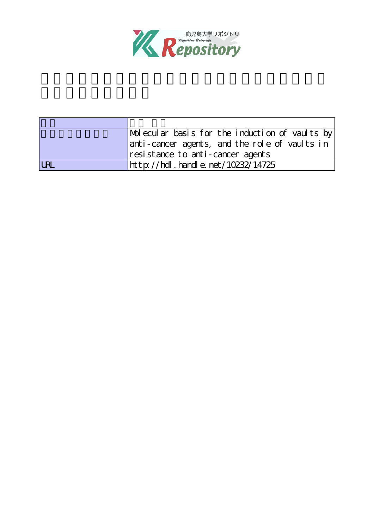

|            | $ \text{Mol} \text{ecul}$ ar basis for the induction of vaults by |  |  |
|------------|-------------------------------------------------------------------|--|--|
|            | anti-cancer agents, and the role of vaults in                     |  |  |
|            | resistance to anti-cancer agents                                  |  |  |
| <b>URL</b> | http://hdl.handle.net/10232/14725                                 |  |  |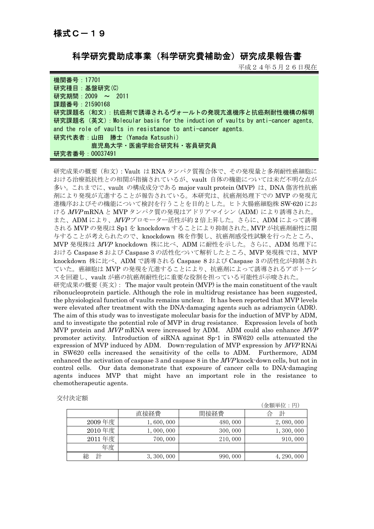科学研究費助成事業(科学研究費補助金)研究成果報告書

平成24年5月26日現在

| 機関番号: 17701                                                                     |
|---------------------------------------------------------------------------------|
| 研究種目:基盤研究(C)                                                                    |
| 研究期間: 2009 ~ 2011                                                               |
| 課題番号: 21590168                                                                  |
| 研究課題名(和文): 抗癌剤で誘導されるヴォールトの発現亢進機序と抗癌剤耐性機構の解明                                     |
| 研究課題名 (英文) : Molecular basis for the induction of vaults by anti-cancer agents. |
| and the role of vaults in resistance to anti-cancer agents.                     |
| 研究代表者:山田 勝士 (Yamada Katsushi)                                                   |
| 鹿児島大学・医歯学総合研究科・客員研究員                                                            |
| 研究者番号: 00037491                                                                 |

研究成果の概要(和文):Vault は RNA タンパク質複合体で、その発現量と多剤耐性癌細胞に おける治療抵抗性との相関が指摘されているが、vault 自体の機能については未だ不明な点が 多い。これまでに、vault の構成成分である major vault protein (MVP) は、DNA 傷害性抗癌 剤により発現が亢進することが報告されている。本研究は、抗癌剤処理下での MVP の発現亢 進機序およびその機能について検討を行うことを目的とした。ヒト大腸癌細胞株 SW-620 にお ける MVPmRNA と MVP タンパク質の発現はアドリアマイシン (ADM) により誘導された。 また、ADM により、MVPプロモーター活性が約2倍上昇した。さらに、ADM によって誘導 される MVP の発現は Sp1 を knockdown することにより抑制された。MVP が抗癌剤耐性に関 与することが考えられたので、knockdown 株を作製し、抗癌剤感受性試験を行ったところ、 MVP 発現株は MVP knockdown 株に比べ、ADM に耐性を示した。さらに、ADM 処理下に おける Caspase 8 および Caspase 3 の活性化ついて解析したところ、MVP 発現株では、MVP knockdown 株に比べ、ADM で誘導される Caspase 8 および Caspase 3 の活性化が抑制され ていた。癌細胞は MVP の発現を亢進することにより、抗癌剤によって誘導されるアポトーシ スを回避し、vault が癌の抗癌剤耐性化に重要な役割を担っている可能性が示唆された。 研究成果の概要(英文): The major vault protein (MVP) is the main constituent of the vault ribonucleoprotein particle. Although the role in multidrug resistance has been suggested, the physiological function of vaults remains unclear. It has been reported that MVP levels were elevated after treatment with the DNA-damaging agents such as adriamycin (ADR). The aim of this study was to investigate molecular basis for the induction of MVP by ADM, and to investigate the potential role of MVP in drug resistance. Expression levels of both MVP protein and *MVP* mRNA were increased by ADM. ADM could also enhance *MVP* promoter activity. Introduction of siRNA against Sp-1 in SW620 cells attenuated the expression of MVP induced by ADM. Down-regulation of MVP expression by *MVP* RNAi in SW620 cells increased the sensitivity of the cells to ADM. Furthermore, ADM enhanced the activation of caspase 3 and caspase 8 in the MVP knock-down cells, but not in control cells. Our data demonstrate that exposure of cancer cells to DNA-damaging agents induces MVP that might have an important role in the resistance to chemotherapeutic agents.

| 交付決定額 |
|-------|
|       |

|        |             |          | (金額単位:円)    |
|--------|-------------|----------|-------------|
|        | 直接経費        | 間接経費     | 計<br>台      |
| 2009年度 | 1,600,000   | 480,000  | 2,080,000   |
| 2010年度 | 1,000,000   | 300,000  | 1,300,000   |
| 2011年度 | 700,000     | 210,000  | 910,000     |
| 年度     |             |          |             |
| 計<br>総 | 3, 300, 000 | 990, 000 | 4, 290, 000 |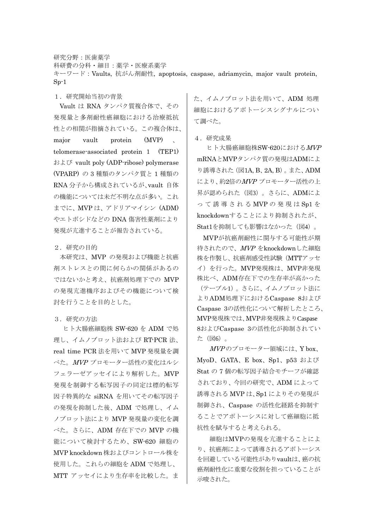研究分野:医歯薬学 科研費の分科・細目:薬学・医療系薬学 キーワード:Vaults, 抗がん剤耐性, apoptosis, caspase, adriamycin, major vault protein,  $Sp-1$ 

1.研究開始当初の背景

Vault は RNA タンパク質複合体で、その 発現量と多剤耐性癌細胞における治療抵抗 性との相関が指摘されている。この複合体は、 major vault protein (MVP) telomerase-associated protein 1 (TEP1) および vault poly (ADP-ribose) polymerase (VPARP) の 3 種類のタンパク質と 1 種類の RNA 分子から構成されているが、vault 自体 の機能については未だ不明な点が多い。これ までに、MVP は、アドリアマイシン (ADM) やエトポシドなどの DNA 傷害性薬剤により 発現が亢進することが報告されている。

## 2.研究の目的

 本研究は、MVP の発現および機能と抗癌 剤ストレスとの間に何らかの関係があるの ではないかと考え、抗癌剤処理下での MVP の発現亢進機序およびその機能について検 討を行うことを目的とした。

## 3.研究の方法

ヒト大腸癌細胞株 SW-620 を ADM で処 理し、イムノブロット法および RT-PCR 法、 real time PCR 法を用いて MVP 発現量を調 べた。MVP プロモーター活性の変化はルシ フェラーゼアッセイにより解析した。MVP 発現を制御する転写因子の同定は標的転写 因子特異的な siRNA を用いてその転写因子 の発現を抑制した後、ADM で処理し、イム ノブロット法により MVP 発現量の変化を調 べた。さらに、ADM 存在下での MVP の機 能について検討するため、SW-620 細胞の MVP knockdown 株およびコントロール株を 使用した。これらの細胞を ADM で処理し、 MTT アッセイにより生存率を比較した。ま

た、イムノブロット法を用いて、ADM 処理 細胞におけるアポトーシスシグナルについ て調べた。

4.研究成果

 ヒト大腸癌細胞株SW-620におけるMVP mRNAとMVPタンパク質の発現はADMによ り誘導された(図1A, B、2A, B)。また、ADM により、約2倍のMVPプロモーター活性の上 昇が認められた(図3)。さらに、ADMによ って誘導される MVP の発現は Sp1 を knockdownすることにより抑制されたが、 Stat1を抑制しても影響はなかった (図4)。

MVPが抗癌剤耐性に関与する可能性が期 待されたので、MVP をknockdownした細胞 株を作製し、抗癌剤感受性試験(MTTアッセ イ)を行った。MVP発現株は、MVP非発現 株比べ、ADM存在下での生存率が高かった (テーブル1)。さらに、イムノブロット法に よりADM処理下におけるCaspase 8および Caspase 3の活性化について解析したところ、 MVP発現株では、MVP非発現株よりCaspase 8およびCaspase 3の活性化が抑制されてい た(図6)。

 $MVP$ のプロモーター領域には、Y box、 MyoD、GATA、E box、Sp1、p53 および Stat の 7 個の転写因子結合モチーフが確認 されており、今回の研究で、ADM によって 誘導される MVP は、Sp1 によりその発現が 制御され、Caspase の活性化経路を抑制す ることでアポトーシスに対して癌細胞に抵 抗性を賦与すると考えられる。

 細胞はMVPの発現を亢進することによ り、抗癌剤によって誘導されるアポトーシス を回避している可能性がありvaultは、癌の抗 癌剤耐性化に重要な役割を担っていることが 示唆された。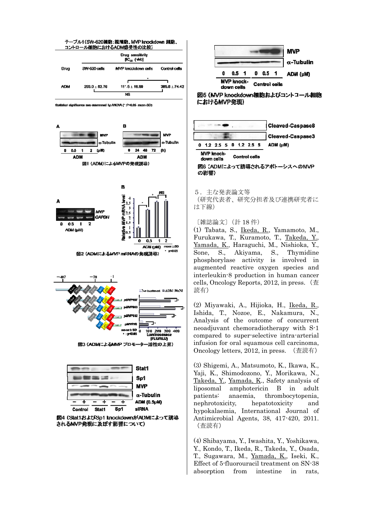





図5 (MVP knockdown細胞およびコントコール細胞 におけるMVP発現)



**MVP knock-Control cells** down cells 図6 (ADMによって誘導されるアポトーシスへのMVP

の影響)

5.主な発表論文等

(研究代表者、研究分担者及び連携研究者に は下線)

〔雑誌論文〕(計 18 件)

(1) Tabata, S., Ikeda, R., Yamamoto, M., Furukawa, T., Kuramoto, T., Takeda, Y., Yamada, K., Haraguchi, M., Nishioka, Y., Sone, S., Akiyama, S., Thymidine phosphorylase activity is involved in augmented reactive oxygen species and interleukin-8 production in human cancer cells, Oncology Reports, 2012, in press.(査 読有)

(2) Miyawaki, A., Hijioka, H., Ikeda, R., Ishida, T., Nozoe, E., Nakamura, N., Analysis of the outcome of concurrent neoadjuvant chemoradiotherapy with S-1 compared to super-selective intra-arterial infusion for oral squamous cell carcinoma, Oncology letters, 2012, in press. (査読有)

(3) Shigemi, A., Matsumoto, K., Ikawa, K., Yaji, K., Shimodozono, Y., Morikawa, N., Takeda, Y., Yamada, K., Safety analysis of liposomal amphotericin B in adult patients: anaemia, thrombocytopenia, nephrotoxicity, hepatotoxicity and hypokalaemia, International Journal of Antimicrobial Agents, 38, 417-420, 2011. (査読有)

(4) Shibayama, Y., Iwashita, Y., Yoshikawa, Y., Kondo, T., Ikeda, R., Takeda, Y., Osada, T., Sugawara, M., Yamada, K., Iseki, K., Effect of 5-fluorouracil treatment on SN-38 absorption from intestine in rats,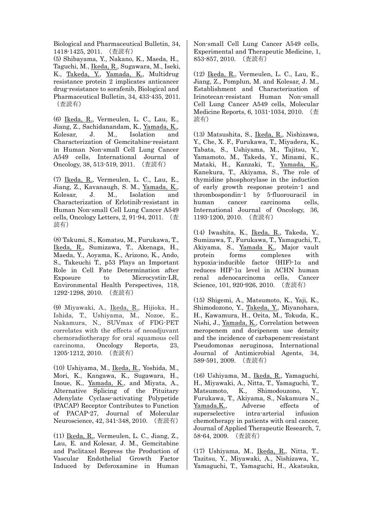Biological and Pharmaceutical Bulletin, 34, 1418-1425, 2011. (査読有)

(5) Shibayama, Y., Nakano, K., Maeda, H., Taguchi, M., Ikeda, R., Sugawara, M., Iseki, K., Takeda, Y., Yamada, K., Multidrug resistance protein 2 implicates anticancer drug-resistance to sorafenib, Biological and Pharmaceutical Bulletin, 34, 433-435, 2011. (査読有)

(6) Ikeda, R., Vermeulen, L. C., Lau, E., Jiang, Z., Sachidanandam, K., Yamada, K., Kolesar, J. M., Isolation and Characterization of Gemcitabine-resistant in Human Non-small Cell Lung Cancer A549 cells, International Journal of Oncology, 38, 513-519, 2011. (査読有)

(7) Ikeda, R., Vermeulen, L. C., Lau, E., Jiang, Z., Kavanaugh, S. M., Yamada, K., Kolesar, J. M., Isolation and Characterization of Erlotinib-resistant in Human Non-small Cell Lung Cancer A549 cells, Oncology Letters, 2, 91-94, 2011. (査 読有)

(8) Takumi, S., Komatsu, M., Furukawa, T., Ikeda, R., Sumizawa, T., Akenaga, H., Maeda, Y., Aoyama, K., Arizono, K., Ando, S., Takeuchi T., p53 Plays an Important Role in Cell Fate Determination after Exposure to Microcystin-LR, Environmental Health Perspectives, 118, 1292-1298, 2010. (査読有)

(9) Miyawaki, A., Ikeda, R., Hijioka, H., Ishida, T., Ushiyama, M., Nozoe, E., Nakamura, N., SUVmax of FDG-PET correlates with the effects of neoadjuvant chemoradiotherapy for oral squamous cell carcinoma, Oncology Reports, 23, 1205-1212, 2010. (査読有)

(10) Ushiyama, M., Ikeda, R., Yoshida, M., Mori, K., Kangawa, K., Sugawara, H., Inoue, K., Yamada, K., and Miyata, A., Alternative Splicing of the Pituitary Adenylate Cyclase-activating Polypetide (PACAP) Receptor Contributes to Function of PACAP-27, Journal of Molecular Neuroscience, 42, 341-348, 2010. (査読有)

(11) Ikeda, R., Vermeulen, L. C., Jiang, Z., Lau, E. and Kolesar, J. M., Gemcitabine and Paclitaxel Repress the Production of Vascular Endothelial Growth Factor Induced by Deferoxamine in Human Non-small Cell Lung Cancer A549 cells, Experimental and Therapeutic Medicine, 1, 853-857, 2010. (査読有)

(12) Ikeda, R., Vermeulen, L. C., Lau, E., Jiang, Z., Pomplun, M. and Kolesar, J. M., Establishment and Characterization of Irinotecan-resistant Human Non-small Cell Lung Cancer A549 cells, Molecular Medicine Reports, 6, 1031-1034, 2010. (査 読有)

(13) Matsushita, S., Ikeda, R., Nishizawa, Y., Che, X. F., Furukawa, T., Miyadera, K., Tabata, S., Ushiyama, M., Tajitsu, Y., Yamamoto, M., Takeda, Y., Minami, K., Mataki, H., Kanzaki, T., Yamada, K., Kanekura, T., Akiyama, S., The role of thymidine phosphorylase in the induction of early growth response protein-1 and thrombospondin-1 by 5-fluorouracil in human cancer carcinoma cells, International Journal of Oncology, 36, 1193-1200, 2010. (査読有)

(14) Iwashita, K., Ikeda, R., Takeda, Y., Sumizawa, T., Furukawa, T., Yamaguchi, T., Akiyama, S., Yamada K., Major vault protein forms complexes with hypoxia-inducible factor  $(HIF)$ -1 $\alpha$  and reduces  $HIF-1\alpha$  level in ACHN human renal adenocarcinoma cells, Cancer Science, 101, 920-926, 2010. (査読有)

(15) Shigemi, A., Matsumoto, K., Yaji, K., Shimodozono, Y., Takeda, Y., Miyanohara, H., Kawamura, H., Orita, M., Tokuda, K., Nishi, J., Yamada, K., Correlation between meropenem and doripenem use density and the incidence of carbapenem-resistant Pseudomonas aeruginosa, International Journal of Antimicrobial Agents, 34, 589-591, 2009. (査読有)

(16) Ushiyama, M., Ikeda, R., Yamaguchi, H., Miyawaki, A., Nitta, T., Yamaguchi, T., Matsumoto, K., Shimodouzono, Y., Furukawa, T., Akiyama, S., Nakamura N., Yamada, K<sub>1</sub>, Adverse effects of superselective intra-arterial infusion chemotherapy in patients with oral cancer, Journal of Applied Therapeutic Research, 7, 58-64, 2009. (査読有)

(17) Ushiyama, M., Ikeda, R., Nitta, T., Tazitsu, Y., Miyawaki, A., Nishizawa, Y., Yamaguchi, T., Yamaguchi, H., Akatsuka,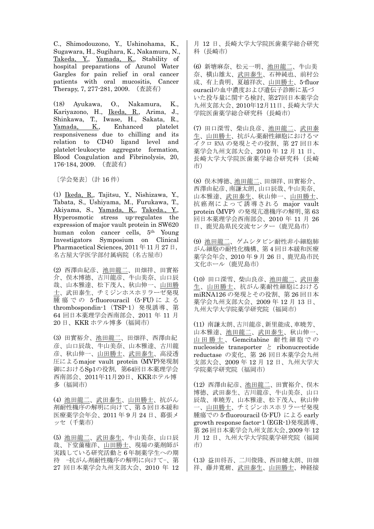C., Shimodouzono, Y., Ushinohama, K., Sugawara, H., Sugihara, K., Nakamura, N., Takeda, Y., Yamada, K., Stability of hospital preparations of Azunol Water Gargles for pain relief in oral cancer patients with oral mucositis, Cancer Therapy, 7, 277-281, 2009. (査読有)

(18) Ayukawa, O., Nakamura, K., Kariyazono, H., Ikeda, R., Arima, J., Shinkawa, T., Iwase, H., Sakata, R., Yamada, K., Enhanced platelet responsiveness due to chilling and its relation to CD40 ligand level and platelet-leukocyte aggregate formation, Blood Coagulation and Fibrinolysis, 20, 176-184, 2009. (査読有)

〔学会発表〕(計 16 件)

(1) Ikeda, R., Tajitsu, Y., Nishizawa, Y., Tabata, S., Ushiyama, M., Furukawa, T., Akiyama, S., Yamada, K., Takeda., Y., Hyperosmotic stress up-regulates the expression of major vault protein in SW620 human colon cancer cells, 5th Young Investigators Symposium on Clinical Pharmacetical Sciences, 2011年11月27日, 名古屋大学医学部付属病院(名古屋市)

(2) 西澤由紀彦、池田龍二、田畑祥、田實裕 介、俣木博徳、古川龍彦、牛山美奈、山口辰 哉、山本雅達、松下茂人、秋山伸一、山田勝 士、武田泰生、チミジンホスホリラーゼ発現 腫瘍での 5-fluorouracil (5-FU) による thrombospondin-1(TSP-1)発現誘導、第 64 回日本薬理学会西南部会、2011 年 11 月 20 日、KKR ホテル博多(福岡市)

(3) 田實裕介、池田龍二、田畑祥、西澤由紀 彦、山口辰哉、牛山美奈、山本雅達、古川龍 彦、秋山伸一、山田勝士、武田泰生、高浸透 圧によるmajor vault protein (MVP)発現制 御におけるSp1の役割, 第64回日本薬理学会 西南部会、2011年11月20日、KKRホテル博 多(福岡市)

(4) 池田龍二、武田泰生、山田勝士、抗がん 剤耐性機序の解明に向けて、第 5 回日本緩和 医療薬学会年会、2011 年 9 月 24 日、幕張メ ッセ(千葉市)

(5) 池田龍二、武田泰生、牛山美奈、山口辰 哉、下堂薗権洋、山田勝士、現場の薬剤師が 実践している研究活動と 6 年制薬学生への期 待 -抗がん剤耐性機序の解明に向けて-、第 27 回日本薬学会九州支部大会、2010 年 12

月 12 日、長崎大学大学院医歯薬学総合研究 科(長崎市)

(6) 新塘麻奈、松元一明、池田龍二、牛山美 奈、横山雄太、武田泰生、石神純也、前村公 成、有上貴明、夏越祥次、山田勝士、5-fluor ouracilの血中濃度および遺伝子診断に基づ いた投与量に関する検討、第27回日本薬学会 九州支部大会、2010年12月11日、長崎大学大 学院医歯薬学総合研究科(長崎市)

(7) 田口深雪、柴山良彦、池田龍二、武田泰 生、山田勝士、抗がん薬耐性細胞におけるマ イクロ RNA の発現とその役割、第 27 回日本 薬学会九州支部大会、2010 年 12 月 11 日、 長崎大学大学院医歯薬学総合研究科(長崎 市)

(8) 俣木博徳、池田龍二、田畑祥、田實裕介、 西澤由紀彦、南謙太朗、山口辰哉、牛山美奈、 山本雅達、武田泰生、秋山伸一、山田勝士、 抗癌剤によって誘導される major vault protein (MVP) の発現亢進機序の解明、第 63 回日本薬理学会西南部会、2010 年 11 月 26 日、鹿児島県民交流センター(鹿児島市)

(9) 池田龍二、ゲムシタビン耐性非小細胞肺 がん細胞の耐性化機構、第 4 回日本緩和医療 薬学会年会、2010 年 9 月 26 日、鹿児島市民 文化ホール(鹿児島市)

(10) 田口深雪、柴山良彦、池田龍二、武田泰 生、山田勝土、抗がん薬耐性細胞における miRNA126 の発現とその役割、第 26 回日本 薬学会九州支部大会、2009 年 12 月 13 日、 九州大学大学院薬学研究院(福岡市)

(11) 南謙太朗、古川龍彦、新里能成、車暁芳、 山本雅達、池田龍二、武田泰生、秋山伸一、 山田勝士、 Gemcitabine 耐性細胞での nucleoside transporter と ribonucreotide reductase の変化、第 26 回日本薬学会九州 支部大会、2009 年 12 月 12 日、九州大学大 学院薬学研究院(福岡市)

(12) 西澤由紀彦、池田龍二、田實裕介、俣木 博徳、武田泰生、古川龍彦、牛山美奈、山口 辰哉、車暁芳、山本雅達、松下茂人、秋山伸 一、山田勝士、チミジンホスホリラーゼ発現 腫瘍での 5-fluorouracil (5-FU) による early growth response factor-1 (EGR-1)発現誘導、 第 26 回日本薬学会九州支部大会、2009 年 12 月 12 日、九州大学大学院薬学研究院(福岡 市)

(13) 益田将吾、二川俊隆、西田健太朗、田畑 祥、藤井寛樹、武田泰生、山田勝士、神経接